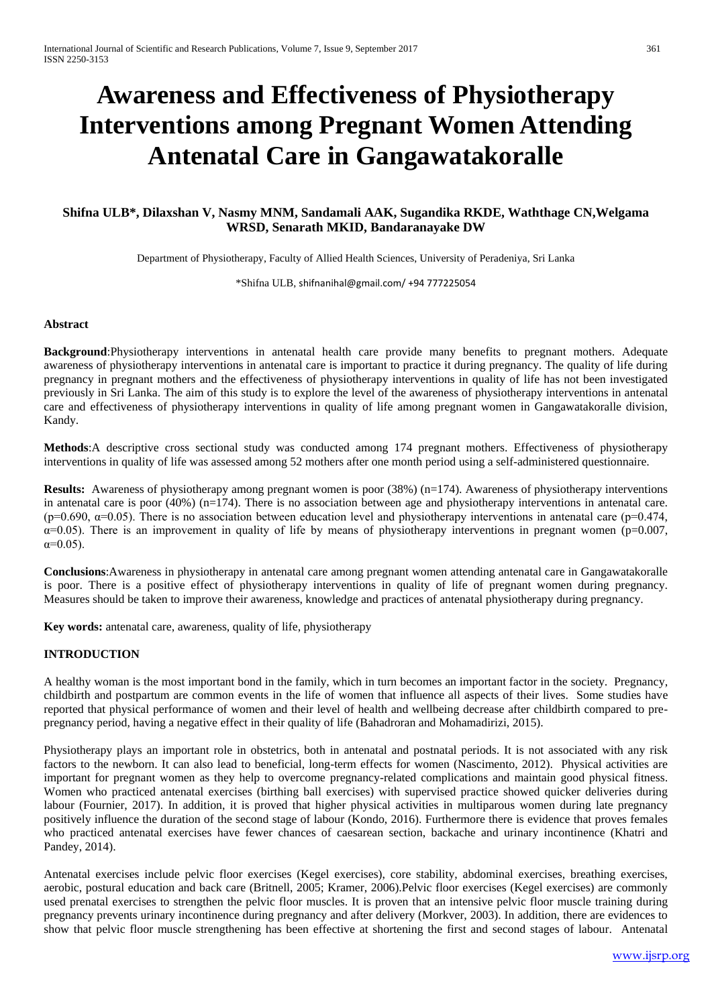# **Awareness and Effectiveness of Physiotherapy Interventions among Pregnant Women Attending Antenatal Care in Gangawatakoralle**

## **Shifna ULB\*, Dilaxshan V, Nasmy MNM, Sandamali AAK, Sugandika RKDE, Waththage CN,Welgama WRSD, Senarath MKID, Bandaranayake DW**

Department of Physiotherapy, Faculty of Allied Health Sciences, University of Peradeniya, Sri Lanka

\*Shifna ULB, [shifnanihal@gmail.com/](mailto:shifnanihal@gmail.com/) +94 777225054

## **Abstract**

**Background**:Physiotherapy interventions in antenatal health care provide many benefits to pregnant mothers. Adequate awareness of physiotherapy interventions in antenatal care is important to practice it during pregnancy. The quality of life during pregnancy in pregnant mothers and the effectiveness of physiotherapy interventions in quality of life has not been investigated previously in Sri Lanka. The aim of this study is to explore the level of the awareness of physiotherapy interventions in antenatal care and effectiveness of physiotherapy interventions in quality of life among pregnant women in Gangawatakoralle division, Kandy.

**Methods**:A descriptive cross sectional study was conducted among 174 pregnant mothers. Effectiveness of physiotherapy interventions in quality of life was assessed among 52 mothers after one month period using a self-administered questionnaire.

**Results:** Awareness of physiotherapy among pregnant women is poor (38%) (n=174). Awareness of physiotherapy interventions in antenatal care is poor (40%) (n=174). There is no association between age and physiotherapy interventions in antenatal care. (p=0.690,  $\alpha$ =0.05). There is no association between education level and physiotherapy interventions in antenatal care (p=0.474,  $\alpha$ =0.05). There is an improvement in quality of life by means of physiotherapy interventions in pregnant women (p=0.007,  $\alpha = 0.05$ ).

**Conclusions**:Awareness in physiotherapy in antenatal care among pregnant women attending antenatal care in Gangawatakoralle is poor. There is a positive effect of physiotherapy interventions in quality of life of pregnant women during pregnancy. Measures should be taken to improve their awareness, knowledge and practices of antenatal physiotherapy during pregnancy.

**Key words:** antenatal care, awareness, quality of life, physiotherapy

## **INTRODUCTION**

A healthy woman is the most important bond in the family, which in turn becomes an important factor in the society. Pregnancy, childbirth and postpartum are common events in the life of women that influence all aspects of their lives. Some studies have reported that physical performance of women and their level of health and wellbeing decrease after childbirth compared to prepregnancy period, having a negative effect in their quality of life (Bahadroran and Mohamadirizi, 2015).

Physiotherapy plays an important role in obstetrics, both in antenatal and postnatal periods. It is not associated with any risk factors to the newborn. It can also lead to beneficial, long-term effects for women (Nascimento, 2012). Physical activities are important for pregnant women as they help to overcome pregnancy-related complications and maintain good physical fitness. Women who practiced antenatal exercises (birthing ball exercises) with supervised practice showed quicker deliveries during labour (Fournier, 2017). In addition, it is proved that higher physical activities in multiparous women during late pregnancy positively influence the duration of the second stage of labour (Kondo, 2016). Furthermore there is evidence that proves females who practiced antenatal exercises have fewer chances of caesarean section, backache and urinary incontinence (Khatri and Pandey, 2014).

Antenatal exercises include pelvic floor exercises (Kegel exercises), core stability, abdominal exercises, breathing exercises, aerobic, postural education and back care (Britnell, 2005; Kramer, 2006).Pelvic floor exercises (Kegel exercises) are commonly used prenatal exercises to strengthen the pelvic floor muscles. It is proven that an intensive pelvic floor muscle training during pregnancy prevents urinary incontinence during pregnancy and after delivery (Morkver, 2003). In addition, there are evidences to show that pelvic floor muscle strengthening has been effective at shortening the first and second stages of labour. Antenatal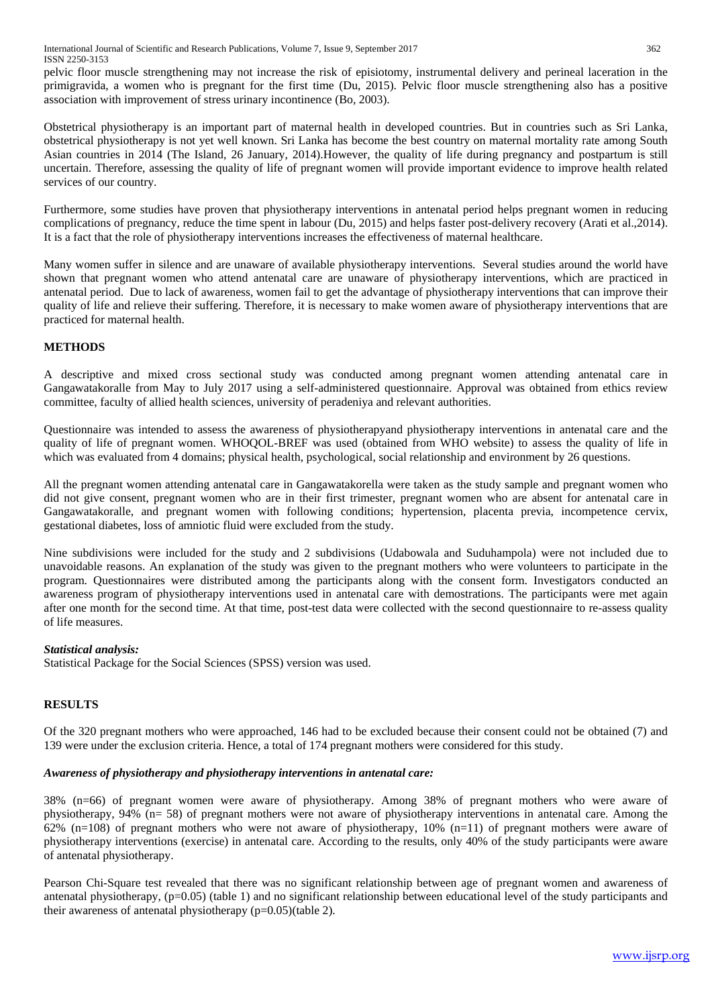pelvic floor muscle strengthening may not increase the risk of episiotomy, instrumental delivery and perineal laceration in the primigravida, a women who is pregnant for the first time (Du, 2015). Pelvic floor muscle strengthening also has a positive association with improvement of stress urinary incontinence (Bo, 2003).

Obstetrical physiotherapy is an important part of maternal health in developed countries. But in countries such as Sri Lanka, obstetrical physiotherapy is not yet well known. Sri Lanka has become the best country on maternal mortality rate among South Asian countries in 2014 (The Island, 26 January, 2014).However, the quality of life during pregnancy and postpartum is still uncertain. Therefore, assessing the quality of life of pregnant women will provide important evidence to improve health related services of our country.

Furthermore, some studies have proven that physiotherapy interventions in antenatal period helps pregnant women in reducing complications of pregnancy, reduce the time spent in labour (Du, 2015) and helps faster post-delivery recovery (Arati et al.,2014). It is a fact that the role of physiotherapy interventions increases the effectiveness of maternal healthcare.

Many women suffer in silence and are unaware of available physiotherapy interventions. Several studies around the world have shown that pregnant women who attend antenatal care are unaware of physiotherapy interventions, which are practiced in antenatal period. Due to lack of awareness, women fail to get the advantage of physiotherapy interventions that can improve their quality of life and relieve their suffering. Therefore, it is necessary to make women aware of physiotherapy interventions that are practiced for maternal health.

## **METHODS**

A descriptive and mixed cross sectional study was conducted among pregnant women attending antenatal care in Gangawatakoralle from May to July 2017 using a self-administered questionnaire. Approval was obtained from ethics review committee, faculty of allied health sciences, university of peradeniya and relevant authorities.

Questionnaire was intended to assess the awareness of physiotherapyand physiotherapy interventions in antenatal care and the quality of life of pregnant women. WHOQOL-BREF was used (obtained from WHO website) to assess the quality of life in which was evaluated from 4 domains; physical health, psychological, social relationship and environment by 26 questions.

All the pregnant women attending antenatal care in Gangawatakorella were taken as the study sample and pregnant women who did not give consent, pregnant women who are in their first trimester, pregnant women who are absent for antenatal care in Gangawatakoralle, and pregnant women with following conditions; hypertension, placenta previa, incompetence cervix, gestational diabetes, loss of amniotic fluid were excluded from the study.

Nine subdivisions were included for the study and 2 subdivisions (Udabowala and Suduhampola) were not included due to unavoidable reasons. An explanation of the study was given to the pregnant mothers who were volunteers to participate in the program. Questionnaires were distributed among the participants along with the consent form. Investigators conducted an awareness program of physiotherapy interventions used in antenatal care with demostrations. The participants were met again after one month for the second time. At that time, post-test data were collected with the second questionnaire to re-assess quality of life measures.

## *Statistical analysis:*

Statistical Package for the Social Sciences (SPSS) version was used.

## **RESULTS**

Of the 320 pregnant mothers who were approached, 146 had to be excluded because their consent could not be obtained (7) and 139 were under the exclusion criteria. Hence, a total of 174 pregnant mothers were considered for this study.

## *Awareness of physiotherapy and physiotherapy interventions in antenatal care:*

38% (n=66) of pregnant women were aware of physiotherapy. Among 38% of pregnant mothers who were aware of physiotherapy, 94% (n= 58) of pregnant mothers were not aware of physiotherapy interventions in antenatal care. Among the 62% (n=108) of pregnant mothers who were not aware of physiotherapy,  $10\%$  (n=11) of pregnant mothers were aware of physiotherapy interventions (exercise) in antenatal care. According to the results, only 40% of the study participants were aware of antenatal physiotherapy.

Pearson Chi-Square test revealed that there was no significant relationship between age of pregnant women and awareness of antenatal physiotherapy,  $(p=0.05)$  (table 1) and no significant relationship between educational level of the study participants and their awareness of antenatal physiotherapy (p=0.05)(table 2).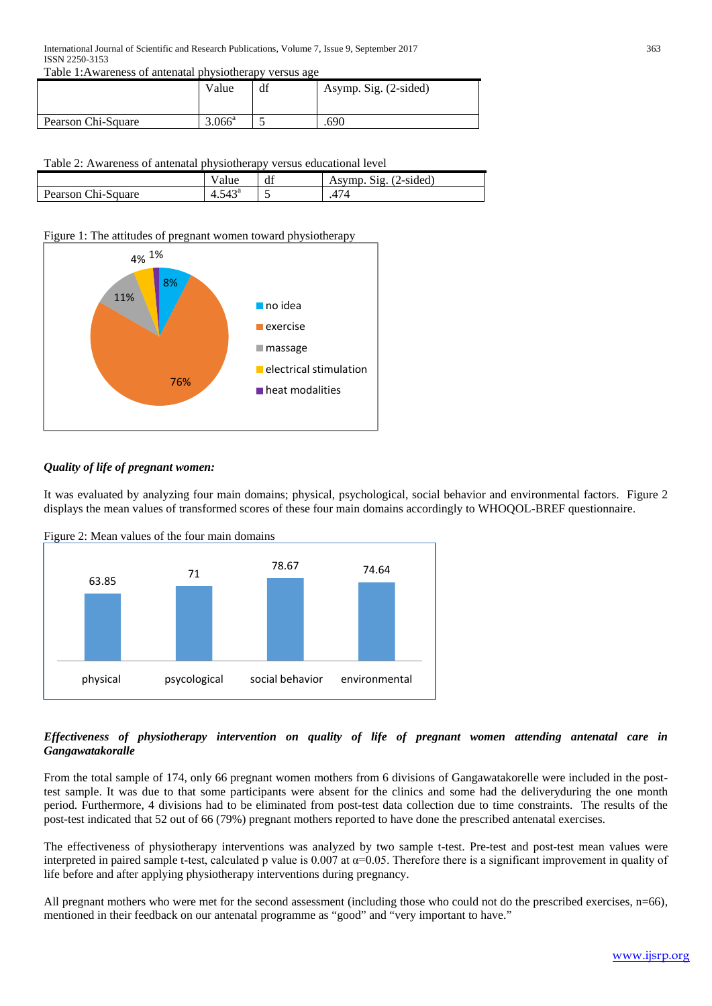Table 1:Awareness of antenatal physiotherapy versus age

|                    | Value           | df | Asymp. Sig. (2-sided) |
|--------------------|-----------------|----|-----------------------|
| Pearson Chi-Square | $3.066^{\rm a}$ |    | .690                  |

## Table 2: Awareness of antenatal physiotherapy versus educational level

| .<br>________<br>. |                       |    |                               |
|--------------------|-----------------------|----|-------------------------------|
|                    | alue                  | df | $(2-sided)$<br>Asymp.<br>512. |
| Pearson Chi-Square | $F A \Omega$<br>4.545 | ັ  | 474                           |
|                    |                       |    |                               |

## Figure 1: The attitudes of pregnant women toward physiotherapy



## *Quality of life of pregnant women:*

It was evaluated by analyzing four main domains; physical, psychological, social behavior and environmental factors. Figure 2 displays the mean values of transformed scores of these four main domains accordingly to WHOQOL-BREF questionnaire.



Figure 2: Mean values of the four main domains

## *Effectiveness of physiotherapy intervention on quality of life of pregnant women attending antenatal care in Gangawatakoralle*

From the total sample of 174, only 66 pregnant women mothers from 6 divisions of Gangawatakorelle were included in the posttest sample. It was due to that some participants were absent for the clinics and some had the deliveryduring the one month period. Furthermore, 4 divisions had to be eliminated from post-test data collection due to time constraints. The results of the post-test indicated that 52 out of 66 (79%) pregnant mothers reported to have done the prescribed antenatal exercises.

The effectiveness of physiotherapy interventions was analyzed by two sample t-test. Pre-test and post-test mean values were interpreted in paired sample t-test, calculated p value is  $0.007$  at  $\alpha$ =0.05. Therefore there is a significant improvement in quality of life before and after applying physiotherapy interventions during pregnancy.

All pregnant mothers who were met for the second assessment (including those who could not do the prescribed exercises, n=66), mentioned in their feedback on our antenatal programme as "good" and "very important to have."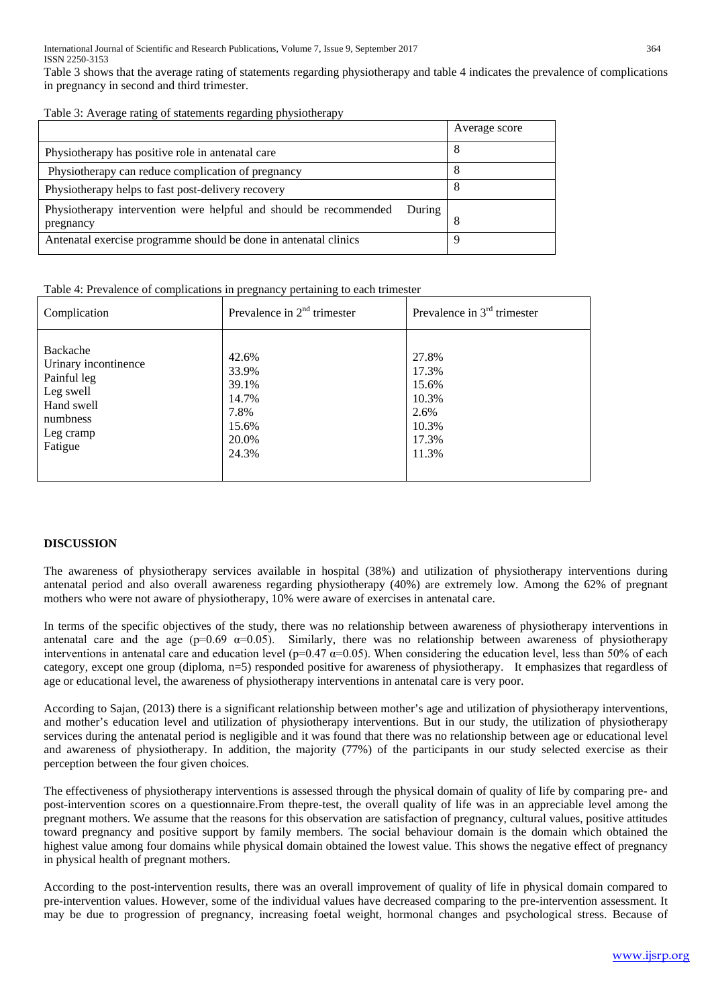Table 3 shows that the average rating of statements regarding physiotherapy and table 4 indicates the prevalence of complications in pregnancy in second and third trimester.

|  |  | Table 3: Average rating of statements regarding physiotherapy |
|--|--|---------------------------------------------------------------|
|  |  |                                                               |

|                                                                                          | Average score |
|------------------------------------------------------------------------------------------|---------------|
| Physiotherapy has positive role in antenatal care                                        | 8             |
| Physiotherapy can reduce complication of pregnancy                                       | 8             |
| Physiotherapy helps to fast post-delivery recovery                                       | 8             |
| Physiotherapy intervention were helpful and should be recommended<br>During<br>pregnancy | 8             |
| Antenatal exercise programme should be done in antenatal clinics                         | q             |

Table 4: Prevalence of complications in pregnancy pertaining to each trimester

| Complication         | Prevalence in $2nd$ trimester | Prevalence in $3rd$ trimester |
|----------------------|-------------------------------|-------------------------------|
| Backache             | 42.6%                         | 27.8%                         |
| Urinary incontinence | 33.9%                         | 17.3%                         |
| Painful leg          | 39.1%                         | 15.6%                         |
| Leg swell            | 14.7%                         | 10.3%                         |
| Hand swell           | 7.8%                          | 2.6%                          |
| numbness             | 15.6%                         | 10.3%                         |
| Leg cramp            | 20.0%                         | 17.3%                         |
| Fatigue              | 24.3%                         | 11.3%                         |

## **DISCUSSION**

The awareness of physiotherapy services available in hospital (38%) and utilization of physiotherapy interventions during antenatal period and also overall awareness regarding physiotherapy (40%) are extremely low. Among the 62% of pregnant mothers who were not aware of physiotherapy, 10% were aware of exercises in antenatal care.

In terms of the specific objectives of the study, there was no relationship between awareness of physiotherapy interventions in antenatal care and the age ( $p=0.69$   $\alpha=0.05$ ). Similarly, there was no relationship between awareness of physiotherapy interventions in antenatal care and education level ( $p=0.47 \alpha=0.05$ ). When considering the education level, less than 50% of each category, except one group (diploma, n=5) responded positive for awareness of physiotherapy. It emphasizes that regardless of age or educational level, the awareness of physiotherapy interventions in antenatal care is very poor.

According to Sajan, (2013) there is a significant relationship between mother's age and utilization of physiotherapy interventions, and mother's education level and utilization of physiotherapy interventions. But in our study, the utilization of physiotherapy services during the antenatal period is negligible and it was found that there was no relationship between age or educational level and awareness of physiotherapy. In addition, the majority (77%) of the participants in our study selected exercise as their perception between the four given choices.

The effectiveness of physiotherapy interventions is assessed through the physical domain of quality of life by comparing pre- and post-intervention scores on a questionnaire.From thepre-test, the overall quality of life was in an appreciable level among the pregnant mothers. We assume that the reasons for this observation are satisfaction of pregnancy, cultural values, positive attitudes toward pregnancy and positive support by family members. The social behaviour domain is the domain which obtained the highest value among four domains while physical domain obtained the lowest value. This shows the negative effect of pregnancy in physical health of pregnant mothers.

According to the post-intervention results, there was an overall improvement of quality of life in physical domain compared to pre-intervention values. However, some of the individual values have decreased comparing to the pre-intervention assessment. It may be due to progression of pregnancy, increasing foetal weight, hormonal changes and psychological stress. Because of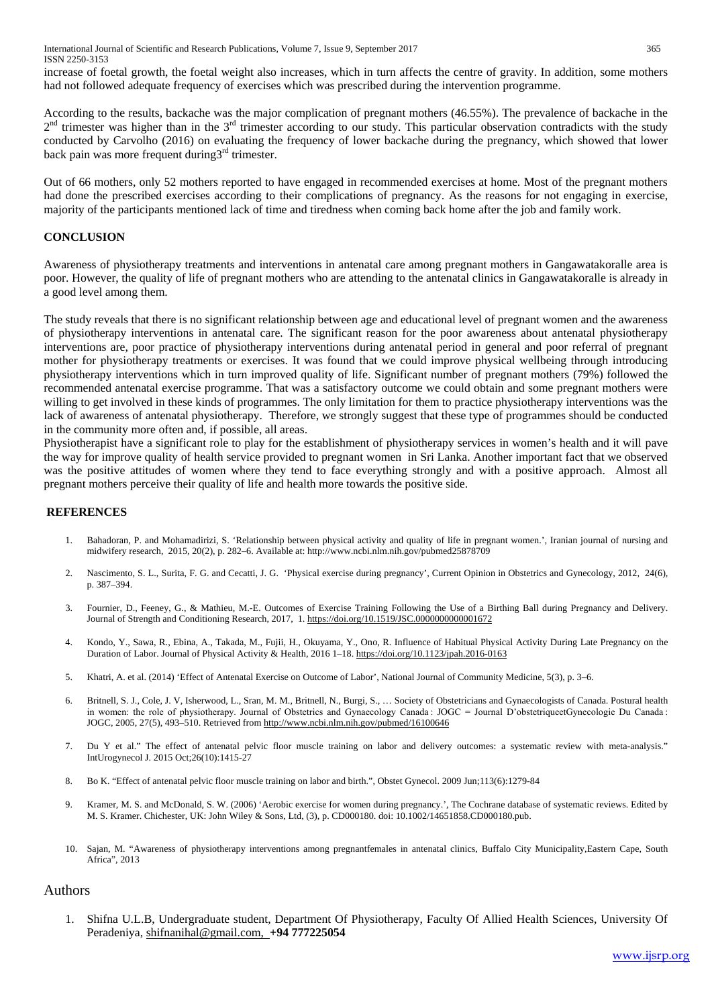International Journal of Scientific and Research Publications, Volume 7, Issue 9, September 2017 365 ISSN 2250-3153

increase of foetal growth, the foetal weight also increases, which in turn affects the centre of gravity. In addition, some mothers had not followed adequate frequency of exercises which was prescribed during the intervention programme.

According to the results, backache was the major complication of pregnant mothers (46.55%). The prevalence of backache in the  $2<sup>nd</sup>$  trimester was higher than in the  $3<sup>rd</sup>$  trimester according to our study. This particular observation contradicts with the study conducted by Carvolho (2016) on evaluating the frequency of lower backache during the pregnancy, which showed that lower back pain was more frequent during  $3<sup>rd</sup>$  trimester.

Out of 66 mothers, only 52 mothers reported to have engaged in recommended exercises at home. Most of the pregnant mothers had done the prescribed exercises according to their complications of pregnancy. As the reasons for not engaging in exercise, majority of the participants mentioned lack of time and tiredness when coming back home after the job and family work.

#### **CONCLUSION**

Awareness of physiotherapy treatments and interventions in antenatal care among pregnant mothers in Gangawatakoralle area is poor. However, the quality of life of pregnant mothers who are attending to the antenatal clinics in Gangawatakoralle is already in a good level among them.

The study reveals that there is no significant relationship between age and educational level of pregnant women and the awareness of physiotherapy interventions in antenatal care. The significant reason for the poor awareness about antenatal physiotherapy interventions are, poor practice of physiotherapy interventions during antenatal period in general and poor referral of pregnant mother for physiotherapy treatments or exercises. It was found that we could improve physical wellbeing through introducing physiotherapy interventions which in turn improved quality of life. Significant number of pregnant mothers (79%) followed the recommended antenatal exercise programme. That was a satisfactory outcome we could obtain and some pregnant mothers were willing to get involved in these kinds of programmes. The only limitation for them to practice physiotherapy interventions was the lack of awareness of antenatal physiotherapy. Therefore, we strongly suggest that these type of programmes should be conducted in the community more often and, if possible, all areas.

Physiotherapist have a significant role to play for the establishment of physiotherapy services in women's health and it will pave the way for improve quality of health service provided to pregnant women in Sri Lanka. Another important fact that we observed was the positive attitudes of women where they tend to face everything strongly and with a positive approach. Almost all pregnant mothers perceive their quality of life and health more towards the positive side.

## **REFERENCES**

- 1. Bahadoran, P. and Mohamadirizi, S. 'Relationship between physical activity and quality of life in pregnant women.', Iranian journal of nursing and midwifery research, 2015, 20(2), p. 282–6. Available at: http://www.ncbi.nlm.nih.gov/pubmed25878709
- 2. Nascimento, S. L., Surita, F. G. and Cecatti, J. G. 'Physical exercise during pregnancy', Current Opinion in Obstetrics and Gynecology, 2012, 24(6), p. 387–394.
- 3. Fournier, D., Feeney, G., & Mathieu, M.-E. Outcomes of Exercise Training Following the Use of a Birthing Ball during Pregnancy and Delivery. Journal of Strength and Conditioning Research, 2017, 1[. https://doi.org/10.1519/JSC.0000000000001672](https://doi.org/10.1519/JSC.0000000000001672)
- 4. Kondo, Y., Sawa, R., Ebina, A., Takada, M., Fujii, H., Okuyama, Y., Ono, R. Influence of Habitual Physical Activity During Late Pregnancy on the Duration of Labor. Journal of Physical Activity & Health, 2016 1–18[. https://doi.org/10.1123/jpah.2016-0163](https://doi.org/10.1123/jpah.2016-0163)
- 5. Khatri, A. et al. (2014) 'Effect of Antenatal Exercise on Outcome of Labor', National Journal of Community Medicine, 5(3), p. 3–6.
- 6. Britnell, S. J., Cole, J. V, Isherwood, L., Sran, M. M., Britnell, N., Burgi, S., … Society of Obstetricians and Gynaecologists of Canada. Postural health in women: the role of physiotherapy. Journal of Obstetrics and Gynaecology Canada : JOGC = Journal D'obstetriqueetGynecologie Du Canada : JOGC, 2005, 27(5), 493–510. Retrieved fro[m http://www.ncbi.nlm.nih.gov/pubmed/16100646](http://www.ncbi.nlm.nih.gov/pubmed/16100646)
- 7. Du Y et al." The effect of antenatal pelvic floor muscle training on labor and delivery outcomes: a systematic review with meta-analysis." IntUrogynecol J. 2015 Oct;26(10):1415-27
- 8. Bo K. "Effect of antenatal pelvic floor muscle training on labor and birth.", Obstet Gynecol. 2009 Jun;113(6):1279-84
- 9. Kramer, M. S. and McDonald, S. W. (2006) 'Aerobic exercise for women during pregnancy.', The Cochrane database of systematic reviews. Edited by M. S. Kramer. Chichester, UK: John Wiley & Sons, Ltd, (3), p. CD000180. doi: 10.1002/14651858.CD000180.pub.
- 10. Sajan, M. "Awareness of physiotherapy interventions among pregnantfemales in antenatal clinics, Buffalo City Municipality,Eastern Cape, South Africa", 2013

## Authors

1. Shifna U.L.B, Undergraduate student, Department Of Physiotherapy, Faculty Of Allied Health Sciences, University Of Peradeniya, [shifnanihal@gmail.com,](mailto:shifnanihal@gmail.com) **+94 777225054**